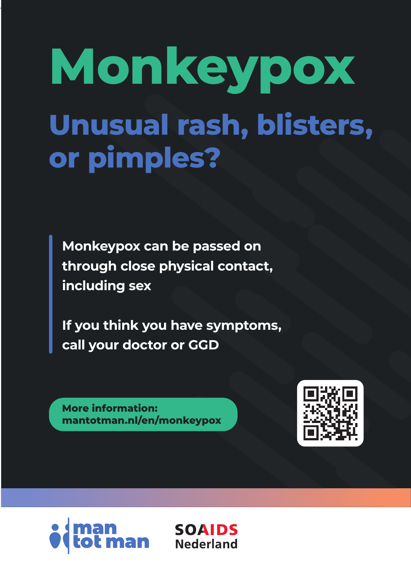# **Unusual rash, blisters, or pimples? Monkeypox**

**Monkeypox can be passed on through close physical contact, including sex**

**If you think you have symptoms, call your doctor or GGD**

> **SOAIDS Nederland**

**More information: mantotman.nl/en/monkeypox**